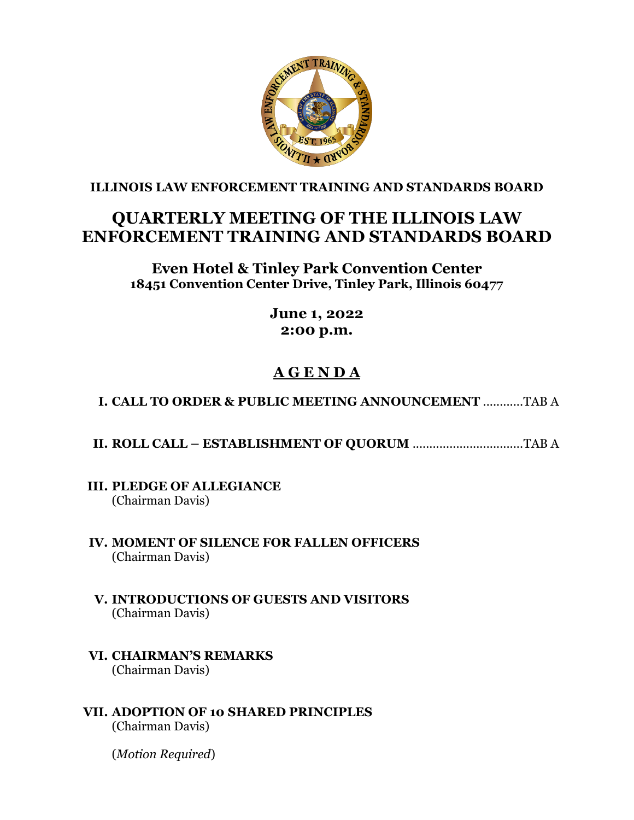

**ILLINOIS LAW ENFORCEMENT TRAINING AND STANDARDS BOARD**

# **QUARTERLY MEETING OF THE ILLINOIS LAW ENFORCEMENT TRAINING AND STANDARDS BOARD**

## **Even Hotel & Tinley Park Convention Center 18451 Convention Center Drive, Tinley Park, Illinois 60477**

**June 1, 2022 2:00 p.m.**

# **A G E N D A**

# **I. CALL TO ORDER & PUBLIC MEETING ANNOUNCEMENT** ............TAB A

**II. ROLL CALL – ESTABLISHMENT OF QUORUM** .................................TAB A

#### **III. PLEDGE OF ALLEGIANCE** (Chairman Davis)

- **IV. MOMENT OF SILENCE FOR FALLEN OFFICERS** (Chairman Davis)
- **V. INTRODUCTIONS OF GUESTS AND VISITORS** (Chairman Davis)
- **VI. CHAIRMAN'S REMARKS** (Chairman Davis)
- **VII. ADOPTION OF 10 SHARED PRINCIPLES** (Chairman Davis)

(*Motion Required*)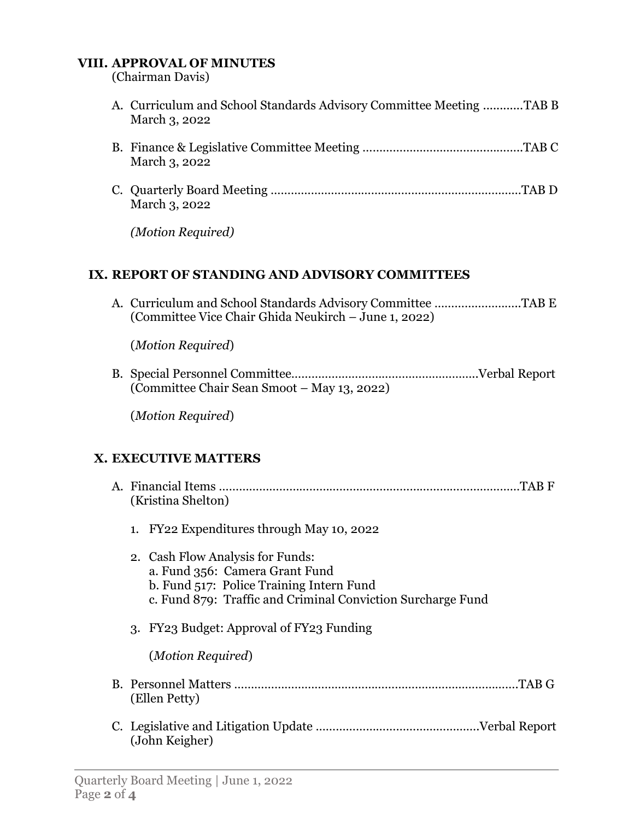## **VIII. APPROVAL OF MINUTES**

(Chairman Davis)

| A. Curriculum and School Standards Advisory Committee Meeting TAB B<br>March 3, 2022 |  |
|--------------------------------------------------------------------------------------|--|
| March 3, 2022                                                                        |  |
| March 3, 2022                                                                        |  |
| (Motion Required)                                                                    |  |
|                                                                                      |  |

## **IX. REPORT OF STANDING AND ADVISORY COMMITTEES**

A. Curriculum and School Standards Advisory Committee ……………………..TAB E (Committee Vice Chair Ghida Neukirch – June 1, 2022)

(*Motion Required*)

B. Special Personnel Committee………………………………………………..Verbal Report (Committee Chair Sean Smoot – May 13, 2022)

(*Motion Required*)

## **X. EXECUTIVE MATTERS**

| .TAB F<br>(Kristina Shelton) |                                                                                                                                                                               |  |
|------------------------------|-------------------------------------------------------------------------------------------------------------------------------------------------------------------------------|--|
|                              | 1. FY22 Expenditures through May 10, 2022                                                                                                                                     |  |
|                              | 2. Cash Flow Analysis for Funds:<br>a. Fund 356: Camera Grant Fund<br>b. Fund 517: Police Training Intern Fund<br>c. Fund 879: Traffic and Criminal Conviction Surcharge Fund |  |
|                              | 3. FY23 Budget: Approval of FY23 Funding<br>(Motion Required)                                                                                                                 |  |
|                              | .TAB G<br>(Ellen Petty)                                                                                                                                                       |  |
|                              | (John Keigher)                                                                                                                                                                |  |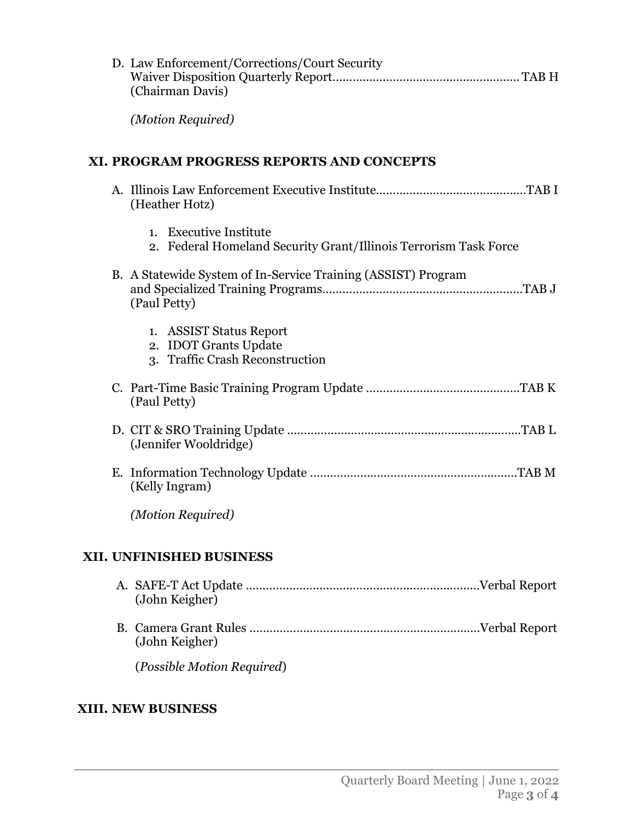|                                           | D. Law Enforcement/Corrections/Court Security<br>(Chairman Davis)                          |  |  |  |
|-------------------------------------------|--------------------------------------------------------------------------------------------|--|--|--|
|                                           | (Motion Required)                                                                          |  |  |  |
| XI. PROGRAM PROGRESS REPORTS AND CONCEPTS |                                                                                            |  |  |  |
|                                           | (Heather Hotz)                                                                             |  |  |  |
|                                           | 1. Executive Institute<br>2. Federal Homeland Security Grant/Illinois Terrorism Task Force |  |  |  |
|                                           | B. A Statewide System of In-Service Training (ASSIST) Program<br>(Paul Petty)              |  |  |  |
|                                           | 1. ASSIST Status Report<br>2. IDOT Grants Update<br>3. Traffic Crash Reconstruction        |  |  |  |
|                                           | (Paul Petty)                                                                               |  |  |  |
|                                           | (Jennifer Wooldridge)                                                                      |  |  |  |
|                                           | (Kelly Ingram)                                                                             |  |  |  |
|                                           | (Motion Required)                                                                          |  |  |  |
| XII. UNFINISHED BUSINESS                  |                                                                                            |  |  |  |
|                                           | (John Keigher)                                                                             |  |  |  |
|                                           | (John Keigher)                                                                             |  |  |  |
|                                           | (Possible Motion Required)                                                                 |  |  |  |

## **XIII. NEW BUSINESS**